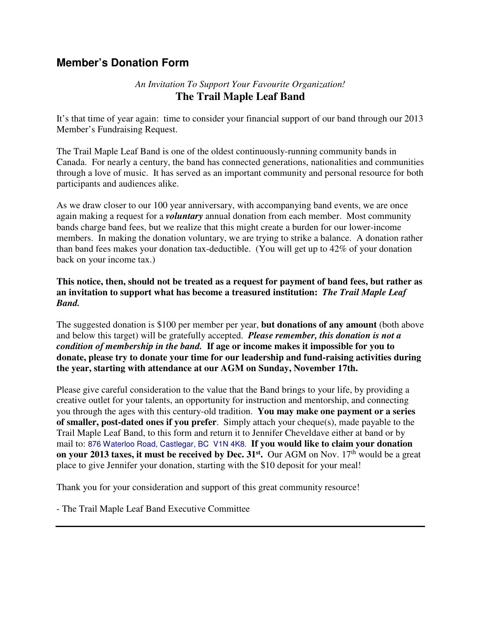## **Member's Donation Form**

## *An Invitation To Support Your Favourite Organization!*  **The Trail Maple Leaf Band**

It's that time of year again: time to consider your financial support of our band through our 2013 Member's Fundraising Request.

The Trail Maple Leaf Band is one of the oldest continuously-running community bands in Canada. For nearly a century, the band has connected generations, nationalities and communities through a love of music. It has served as an important community and personal resource for both participants and audiences alike.

As we draw closer to our 100 year anniversary, with accompanying band events, we are once again making a request for a *voluntary* annual donation from each member. Most community bands charge band fees, but we realize that this might create a burden for our lower-income members. In making the donation voluntary, we are trying to strike a balance. A donation rather than band fees makes your donation tax-deductible. (You will get up to 42% of your donation back on your income tax.)

## **This notice, then, should not be treated as a request for payment of band fees, but rather as an invitation to support what has become a treasured institution:** *The Trail Maple Leaf Band.*

The suggested donation is \$100 per member per year, **but donations of any amount** (both above and below this target) will be gratefully accepted. *Please remember, this donation is not a condition of membership in the band.* **If age or income makes it impossible for you to donate, please try to donate your time for our leadership and fund-raising activities during the year, starting with attendance at our AGM on Sunday, November 17th.** 

Please give careful consideration to the value that the Band brings to your life, by providing a creative outlet for your talents, an opportunity for instruction and mentorship, and connecting you through the ages with this century-old tradition. **You may make one payment or a series of smaller, post-dated ones if you prefer**. Simply attach your cheque(s), made payable to the Trail Maple Leaf Band, to this form and return it to Jennifer Cheveldave either at band or by mail to: 876 Waterloo Road, Castlegar, BC V1N 4K8. **If you would like to claim your donation on your 2013 taxes, it must be received by Dec. 31st .** Our AGM on Nov. 17th would be a great place to give Jennifer your donation, starting with the \$10 deposit for your meal!

Thank you for your consideration and support of this great community resource!

- The Trail Maple Leaf Band Executive Committee